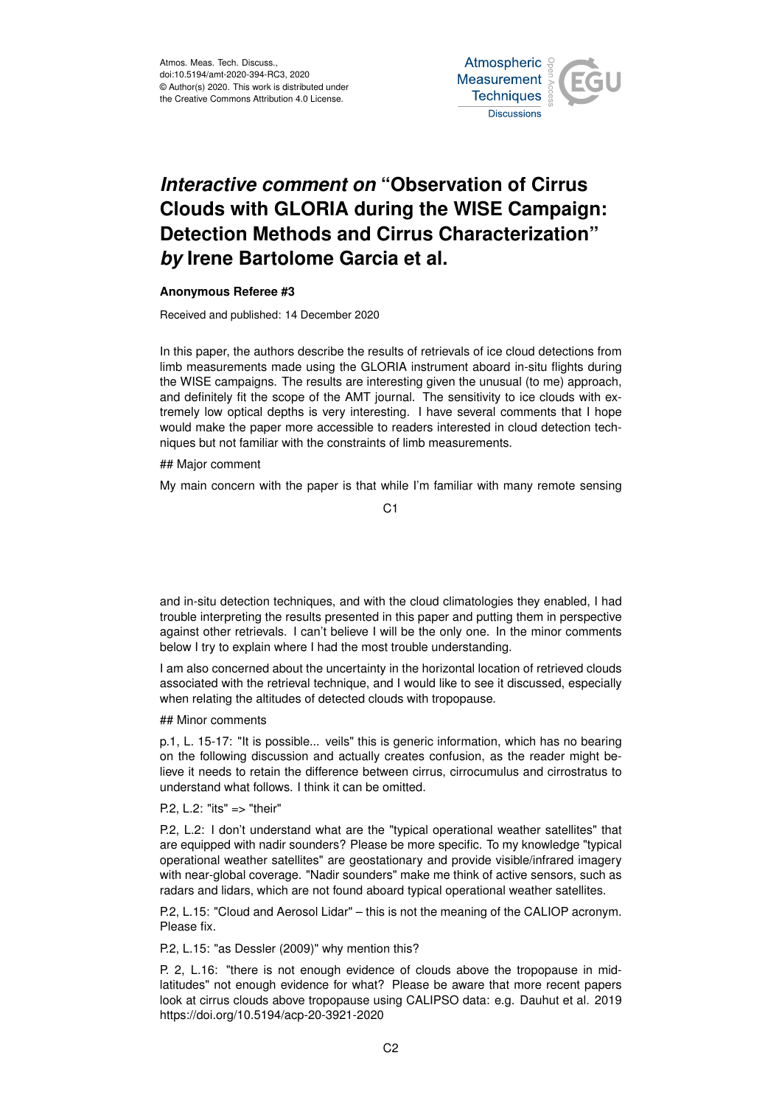

## *Interactive comment on* **"Observation of Cirrus Clouds with GLORIA during the WISE Campaign: Detection Methods and Cirrus Characterization"** *by* **Irene Bartolome Garcia et al.**

## **Anonymous Referee #3**

Received and published: 14 December 2020

In this paper, the authors describe the results of retrievals of ice cloud detections from limb measurements made using the GLORIA instrument aboard in-situ flights during the WISE campaigns. The results are interesting given the unusual (to me) approach, and definitely fit the scope of the AMT journal. The sensitivity to ice clouds with extremely low optical depths is very interesting. I have several comments that I hope would make the paper more accessible to readers interested in cloud detection techniques but not familiar with the constraints of limb measurements.

## Major comment

My main concern with the paper is that while I'm familiar with many remote sensing

C<sub>1</sub>

and in-situ detection techniques, and with the cloud climatologies they enabled, I had trouble interpreting the results presented in this paper and putting them in perspective against other retrievals. I can't believe I will be the only one. In the minor comments below I try to explain where I had the most trouble understanding.

I am also concerned about the uncertainty in the horizontal location of retrieved clouds associated with the retrieval technique, and I would like to see it discussed, especially when relating the altitudes of detected clouds with tropopause.

## Minor comments

p.1, L. 15-17: "It is possible... veils" this is generic information, which has no bearing on the following discussion and actually creates confusion, as the reader might believe it needs to retain the difference between cirrus, cirrocumulus and cirrostratus to understand what follows. I think it can be omitted.

P.2, L.2: "its" => "their"

P.2, L.2: I don't understand what are the "typical operational weather satellites" that are equipped with nadir sounders? Please be more specific. To my knowledge "typical operational weather satellites" are geostationary and provide visible/infrared imagery with near-global coverage. "Nadir sounders" make me think of active sensors, such as radars and lidars, which are not found aboard typical operational weather satellites.

P.2, L.15: "Cloud and Aerosol Lidar" – this is not the meaning of the CALIOP acronym. Please fix.

P.2, L.15: "as Dessler (2009)" why mention this?

P. 2, L.16: "there is not enough evidence of clouds above the tropopause in midlatitudes" not enough evidence for what? Please be aware that more recent papers look at cirrus clouds above tropopause using CALIPSO data: e.g. Dauhut et al. 2019 https://doi.org/10.5194/acp-20-3921-2020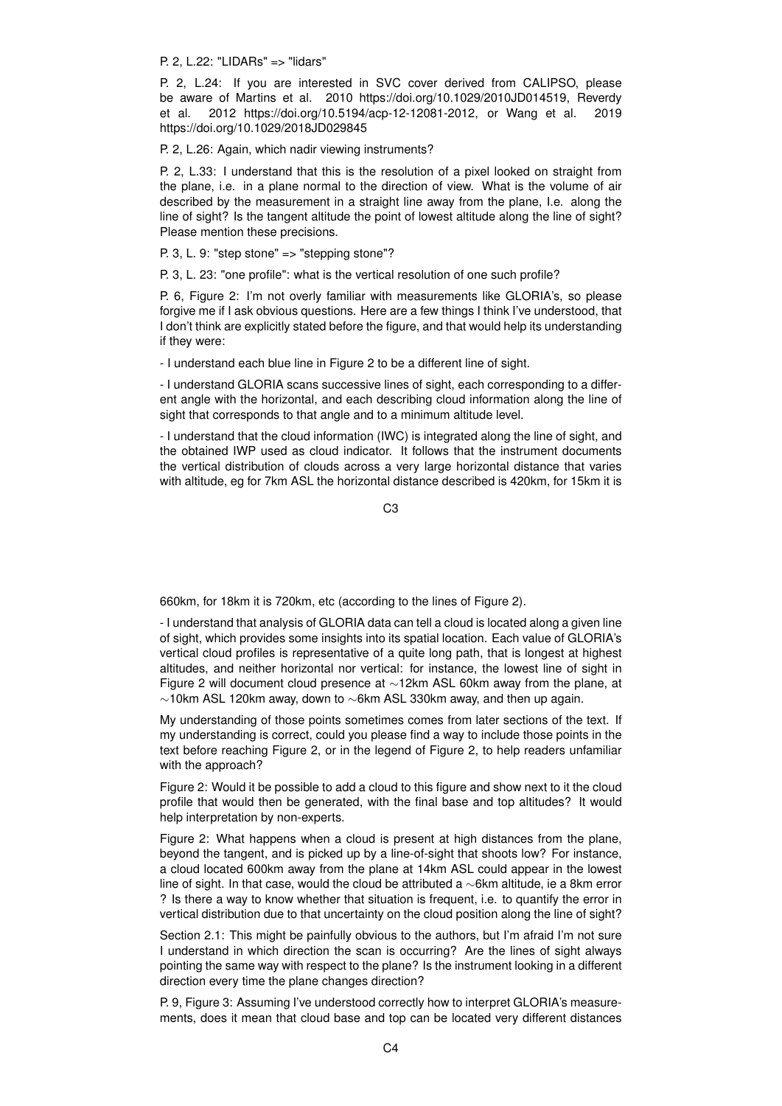P. 2, L.22: "LIDARs" => "lidars"

P. 2, L.24: If you are interested in SVC cover derived from CALIPSO, please be aware of Martins et al. 2010 https://doi.org/10.1029/2010JD014519, Reverdy et al. 2012 https://doi.org/10.5194/acp-12-12081-2012, or Wang et al. 2019 https://doi.org/10.1029/2018JD029845

P. 2, L.26: Again, which nadir viewing instruments?

P. 2, L.33: I understand that this is the resolution of a pixel looked on straight from the plane, i.e. in a plane normal to the direction of view. What is the volume of air described by the measurement in a straight line away from the plane, I.e. along the line of sight? Is the tangent altitude the point of lowest altitude along the line of sight? Please mention these precisions.

P. 3, L. 9: "step stone" => "stepping stone"?

P. 3, L. 23: "one profile": what is the vertical resolution of one such profile?

P. 6, Figure 2: I'm not overly familiar with measurements like GLORIA's, so please forgive me if I ask obvious questions. Here are a few things I think I've understood, that I don't think are explicitly stated before the figure, and that would help its understanding if they were:

- I understand each blue line in Figure 2 to be a different line of sight.

- I understand GLORIA scans successive lines of sight, each corresponding to a different angle with the horizontal, and each describing cloud information along the line of sight that corresponds to that angle and to a minimum altitude level.

- I understand that the cloud information (IWC) is integrated along the line of sight, and the obtained IWP used as cloud indicator. It follows that the instrument documents the vertical distribution of clouds across a very large horizontal distance that varies with altitude, eg for 7km ASL the horizontal distance described is 420km, for 15km it is

C3

660km, for 18km it is 720km, etc (according to the lines of Figure 2).

- I understand that analysis of GLORIA data can tell a cloud is located along a given line of sight, which provides some insights into its spatial location. Each value of GLORIA's vertical cloud profiles is representative of a quite long path, that is longest at highest altitudes, and neither horizontal nor vertical: for instance, the lowest line of sight in Figure 2 will document cloud presence at ∼12km ASL 60km away from the plane, at ∼10km ASL 120km away, down to ∼6km ASL 330km away, and then up again.

My understanding of those points sometimes comes from later sections of the text. If my understanding is correct, could you please find a way to include those points in the text before reaching Figure 2, or in the legend of Figure 2, to help readers unfamiliar with the approach?

Figure 2: Would it be possible to add a cloud to this figure and show next to it the cloud profile that would then be generated, with the final base and top altitudes? It would help interpretation by non-experts.

Figure 2: What happens when a cloud is present at high distances from the plane, beyond the tangent, and is picked up by a line-of-sight that shoots low? For instance, a cloud located 600km away from the plane at 14km ASL could appear in the lowest line of sight. In that case, would the cloud be attributed a ∼6km altitude, ie a 8km error ? Is there a way to know whether that situation is frequent, i.e. to quantify the error in vertical distribution due to that uncertainty on the cloud position along the line of sight?

Section 2.1: This might be painfully obvious to the authors, but I'm afraid I'm not sure I understand in which direction the scan is occurring? Are the lines of sight always pointing the same way with respect to the plane? Is the instrument looking in a different direction every time the plane changes direction?

P. 9, Figure 3: Assuming I've understood correctly how to interpret GLORIA's measurements, does it mean that cloud base and top can be located very different distances